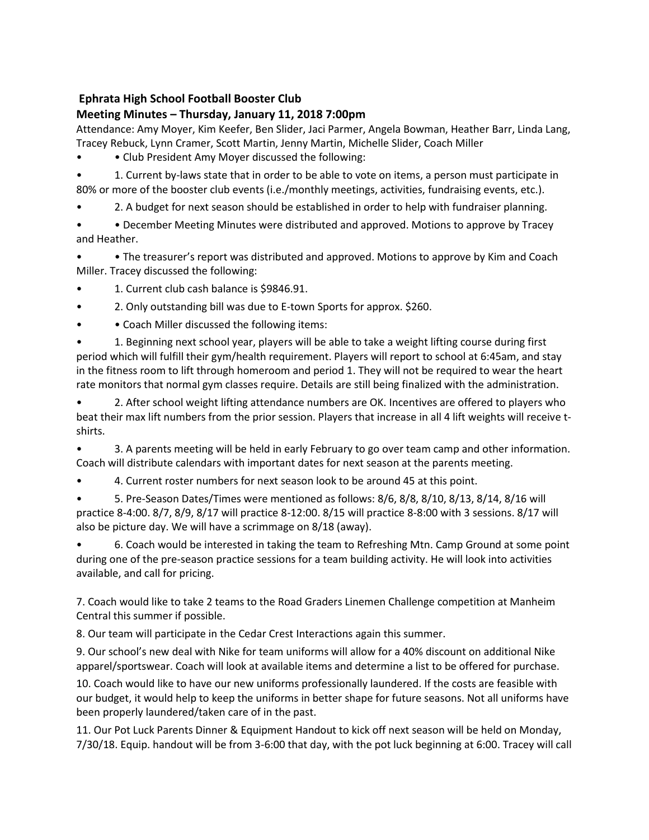#### **Meeting Minutes – Thursday, January 11, 2018 7:00pm**

Attendance: Amy Moyer, Kim Keefer, Ben Slider, Jaci Parmer, Angela Bowman, Heather Barr, Linda Lang, Tracey Rebuck, Lynn Cramer, Scott Martin, Jenny Martin, Michelle Slider, Coach Miller

• Club President Amy Moyer discussed the following:

• 1. Current by-laws state that in order to be able to vote on items, a person must participate in 80% or more of the booster club events (i.e./monthly meetings, activities, fundraising events, etc.).

• 2. A budget for next season should be established in order to help with fundraiser planning.

• • December Meeting Minutes were distributed and approved. Motions to approve by Tracey and Heather.

• • The treasurer's report was distributed and approved. Motions to approve by Kim and Coach Miller. Tracey discussed the following:

- 1. Current club cash balance is \$9846.91.
- 2. Only outstanding bill was due to E-town Sports for approx. \$260.
- Coach Miller discussed the following items:

• 1. Beginning next school year, players will be able to take a weight lifting course during first period which will fulfill their gym/health requirement. Players will report to school at 6:45am, and stay in the fitness room to lift through homeroom and period 1. They will not be required to wear the heart rate monitors that normal gym classes require. Details are still being finalized with the administration.

• 2. After school weight lifting attendance numbers are OK. Incentives are offered to players who beat their max lift numbers from the prior session. Players that increase in all 4 lift weights will receive tshirts.

• 3. A parents meeting will be held in early February to go over team camp and other information. Coach will distribute calendars with important dates for next season at the parents meeting.

• 4. Current roster numbers for next season look to be around 45 at this point.

• 5. Pre-Season Dates/Times were mentioned as follows: 8/6, 8/8, 8/10, 8/13, 8/14, 8/16 will practice 8-4:00. 8/7, 8/9, 8/17 will practice 8-12:00. 8/15 will practice 8-8:00 with 3 sessions. 8/17 will also be picture day. We will have a scrimmage on 8/18 (away).

• 6. Coach would be interested in taking the team to Refreshing Mtn. Camp Ground at some point during one of the pre-season practice sessions for a team building activity. He will look into activities available, and call for pricing.

7. Coach would like to take 2 teams to the Road Graders Linemen Challenge competition at Manheim Central this summer if possible.

8. Our team will participate in the Cedar Crest Interactions again this summer.

9. Our school's new deal with Nike for team uniforms will allow for a 40% discount on additional Nike apparel/sportswear. Coach will look at available items and determine a list to be offered for purchase.

10. Coach would like to have our new uniforms professionally laundered. If the costs are feasible with our budget, it would help to keep the uniforms in better shape for future seasons. Not all uniforms have been properly laundered/taken care of in the past.

11. Our Pot Luck Parents Dinner & Equipment Handout to kick off next season will be held on Monday, 7/30/18. Equip. handout will be from 3-6:00 that day, with the pot luck beginning at 6:00. Tracey will call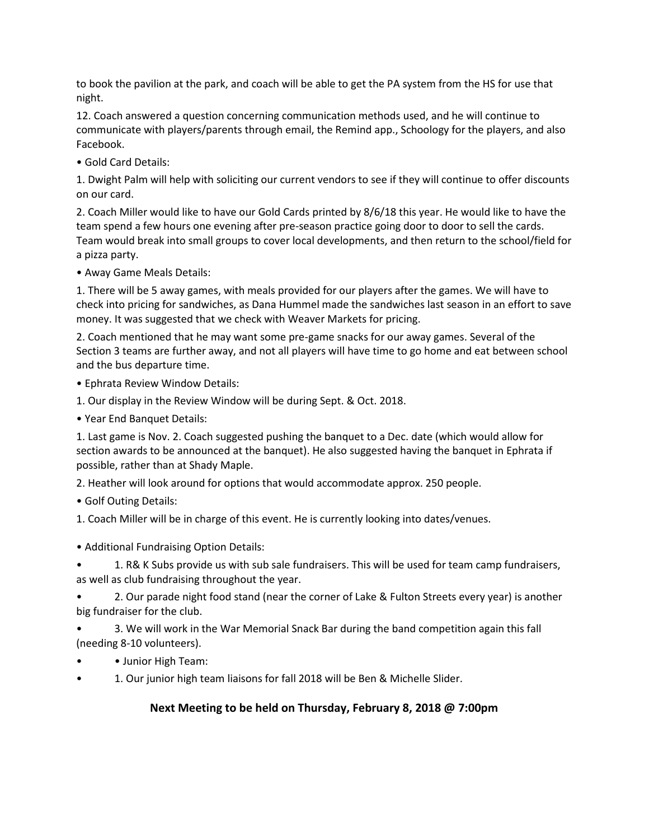to book the pavilion at the park, and coach will be able to get the PA system from the HS for use that night.

12. Coach answered a question concerning communication methods used, and he will continue to communicate with players/parents through email, the Remind app., Schoology for the players, and also Facebook.

• Gold Card Details:

1. Dwight Palm will help with soliciting our current vendors to see if they will continue to offer discounts on our card.

2. Coach Miller would like to have our Gold Cards printed by 8/6/18 this year. He would like to have the team spend a few hours one evening after pre-season practice going door to door to sell the cards. Team would break into small groups to cover local developments, and then return to the school/field for a pizza party.

• Away Game Meals Details:

1. There will be 5 away games, with meals provided for our players after the games. We will have to check into pricing for sandwiches, as Dana Hummel made the sandwiches last season in an effort to save money. It was suggested that we check with Weaver Markets for pricing.

2. Coach mentioned that he may want some pre-game snacks for our away games. Several of the Section 3 teams are further away, and not all players will have time to go home and eat between school and the bus departure time.

• Ephrata Review Window Details:

1. Our display in the Review Window will be during Sept. & Oct. 2018.

• Year End Banquet Details:

1. Last game is Nov. 2. Coach suggested pushing the banquet to a Dec. date (which would allow for section awards to be announced at the banquet). He also suggested having the banquet in Ephrata if possible, rather than at Shady Maple.

2. Heather will look around for options that would accommodate approx. 250 people.

• Golf Outing Details:

1. Coach Miller will be in charge of this event. He is currently looking into dates/venues.

• Additional Fundraising Option Details:

• 1. R& K Subs provide us with sub sale fundraisers. This will be used for team camp fundraisers, as well as club fundraising throughout the year.

• 2. Our parade night food stand (near the corner of Lake & Fulton Streets every year) is another big fundraiser for the club.

• 3. We will work in the War Memorial Snack Bar during the band competition again this fall (needing 8-10 volunteers).

• • Junior High Team:

• 1. Our junior high team liaisons for fall 2018 will be Ben & Michelle Slider.

#### **Next Meeting to be held on Thursday, February 8, 2018 @ 7:00pm**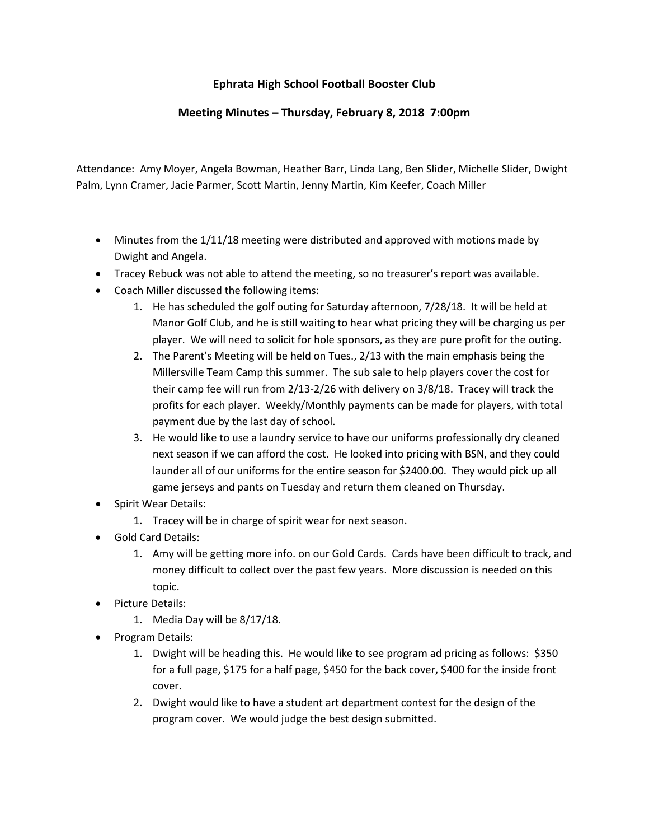#### **Meeting Minutes – Thursday, February 8, 2018 7:00pm**

Attendance: Amy Moyer, Angela Bowman, Heather Barr, Linda Lang, Ben Slider, Michelle Slider, Dwight Palm, Lynn Cramer, Jacie Parmer, Scott Martin, Jenny Martin, Kim Keefer, Coach Miller

- Minutes from the 1/11/18 meeting were distributed and approved with motions made by Dwight and Angela.
- Tracey Rebuck was not able to attend the meeting, so no treasurer's report was available.
- Coach Miller discussed the following items:
	- 1. He has scheduled the golf outing for Saturday afternoon, 7/28/18. It will be held at Manor Golf Club, and he is still waiting to hear what pricing they will be charging us per player. We will need to solicit for hole sponsors, as they are pure profit for the outing.
	- 2. The Parent's Meeting will be held on Tues., 2/13 with the main emphasis being the Millersville Team Camp this summer. The sub sale to help players cover the cost for their camp fee will run from 2/13-2/26 with delivery on 3/8/18. Tracey will track the profits for each player. Weekly/Monthly payments can be made for players, with total payment due by the last day of school.
	- 3. He would like to use a laundry service to have our uniforms professionally dry cleaned next season if we can afford the cost. He looked into pricing with BSN, and they could launder all of our uniforms for the entire season for \$2400.00. They would pick up all game jerseys and pants on Tuesday and return them cleaned on Thursday.
- Spirit Wear Details:
	- 1. Tracey will be in charge of spirit wear for next season.
- Gold Card Details:
	- 1. Amy will be getting more info. on our Gold Cards. Cards have been difficult to track, and money difficult to collect over the past few years. More discussion is needed on this topic.
- Picture Details:
	- 1. Media Day will be 8/17/18.
- Program Details:
	- 1. Dwight will be heading this. He would like to see program ad pricing as follows: \$350 for a full page, \$175 for a half page, \$450 for the back cover, \$400 for the inside front cover.
	- 2. Dwight would like to have a student art department contest for the design of the program cover. We would judge the best design submitted.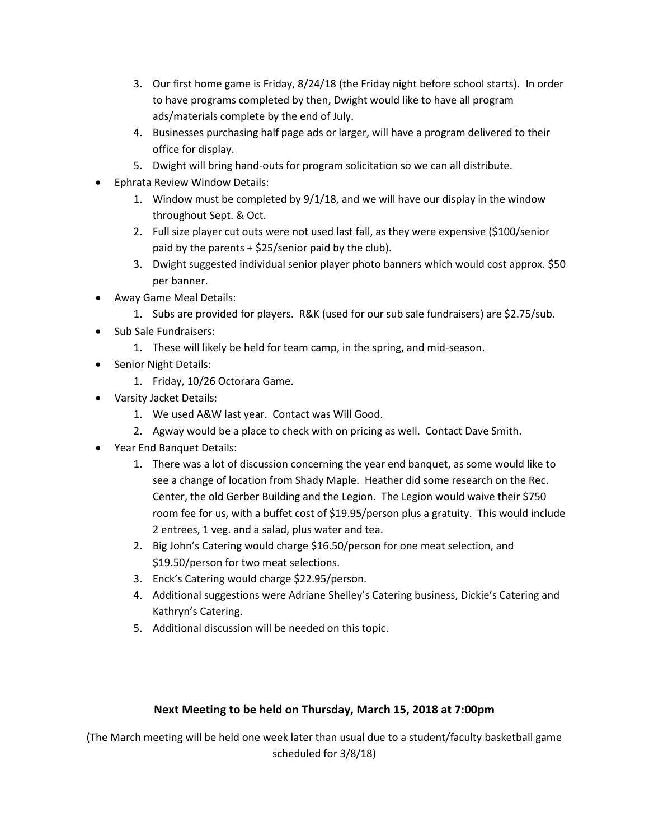- 3. Our first home game is Friday, 8/24/18 (the Friday night before school starts). In order to have programs completed by then, Dwight would like to have all program ads/materials complete by the end of July.
- 4. Businesses purchasing half page ads or larger, will have a program delivered to their office for display.
- 5. Dwight will bring hand-outs for program solicitation so we can all distribute.
- Ephrata Review Window Details:
	- 1. Window must be completed by 9/1/18, and we will have our display in the window throughout Sept. & Oct.
	- 2. Full size player cut outs were not used last fall, as they were expensive (\$100/senior paid by the parents  $+$  \$25/senior paid by the club).
	- 3. Dwight suggested individual senior player photo banners which would cost approx. \$50 per banner.
- Away Game Meal Details:
	- 1. Subs are provided for players. R&K (used for our sub sale fundraisers) are \$2.75/sub.
- Sub Sale Fundraisers:
	- 1. These will likely be held for team camp, in the spring, and mid-season.
- Senior Night Details:
	- 1. Friday, 10/26 Octorara Game.
- Varsity Jacket Details:
	- 1. We used A&W last year. Contact was Will Good.
	- 2. Agway would be a place to check with on pricing as well. Contact Dave Smith.
- Year End Banquet Details:
	- 1. There was a lot of discussion concerning the year end banquet, as some would like to see a change of location from Shady Maple. Heather did some research on the Rec. Center, the old Gerber Building and the Legion. The Legion would waive their \$750 room fee for us, with a buffet cost of \$19.95/person plus a gratuity. This would include 2 entrees, 1 veg. and a salad, plus water and tea.
	- 2. Big John's Catering would charge \$16.50/person for one meat selection, and \$19.50/person for two meat selections.
	- 3. Enck's Catering would charge \$22.95/person.
	- 4. Additional suggestions were Adriane Shelley's Catering business, Dickie's Catering and Kathryn's Catering.
	- 5. Additional discussion will be needed on this topic.

#### **Next Meeting to be held on Thursday, March 15, 2018 at 7:00pm**

(The March meeting will be held one week later than usual due to a student/faculty basketball game scheduled for 3/8/18)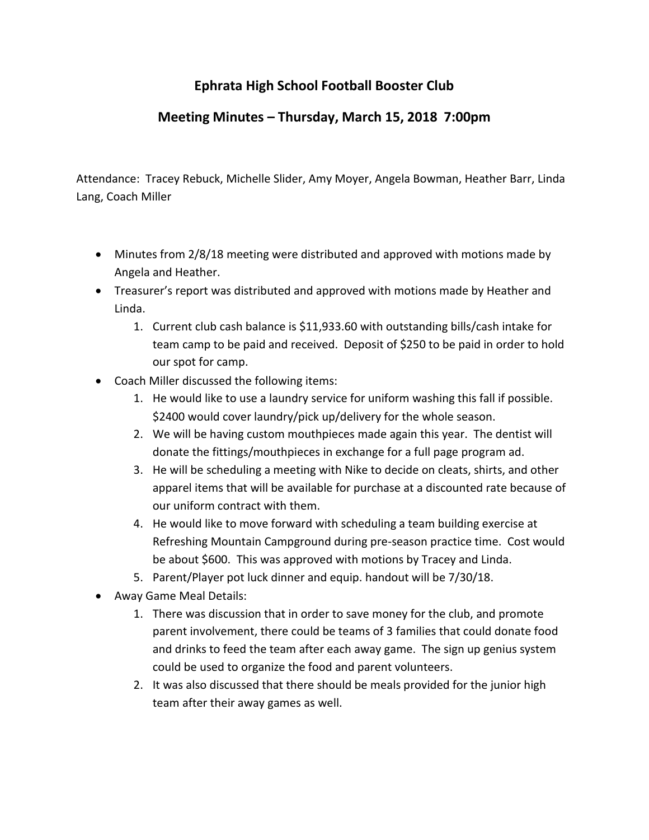## **Meeting Minutes – Thursday, March 15, 2018 7:00pm**

Attendance: Tracey Rebuck, Michelle Slider, Amy Moyer, Angela Bowman, Heather Barr, Linda Lang, Coach Miller

- Minutes from 2/8/18 meeting were distributed and approved with motions made by Angela and Heather.
- Treasurer's report was distributed and approved with motions made by Heather and Linda.
	- 1. Current club cash balance is \$11,933.60 with outstanding bills/cash intake for team camp to be paid and received. Deposit of \$250 to be paid in order to hold our spot for camp.
- Coach Miller discussed the following items:
	- 1. He would like to use a laundry service for uniform washing this fall if possible. \$2400 would cover laundry/pick up/delivery for the whole season.
	- 2. We will be having custom mouthpieces made again this year. The dentist will donate the fittings/mouthpieces in exchange for a full page program ad.
	- 3. He will be scheduling a meeting with Nike to decide on cleats, shirts, and other apparel items that will be available for purchase at a discounted rate because of our uniform contract with them.
	- 4. He would like to move forward with scheduling a team building exercise at Refreshing Mountain Campground during pre-season practice time. Cost would be about \$600. This was approved with motions by Tracey and Linda.
	- 5. Parent/Player pot luck dinner and equip. handout will be 7/30/18.
- Away Game Meal Details:
	- 1. There was discussion that in order to save money for the club, and promote parent involvement, there could be teams of 3 families that could donate food and drinks to feed the team after each away game. The sign up genius system could be used to organize the food and parent volunteers.
	- 2. It was also discussed that there should be meals provided for the junior high team after their away games as well.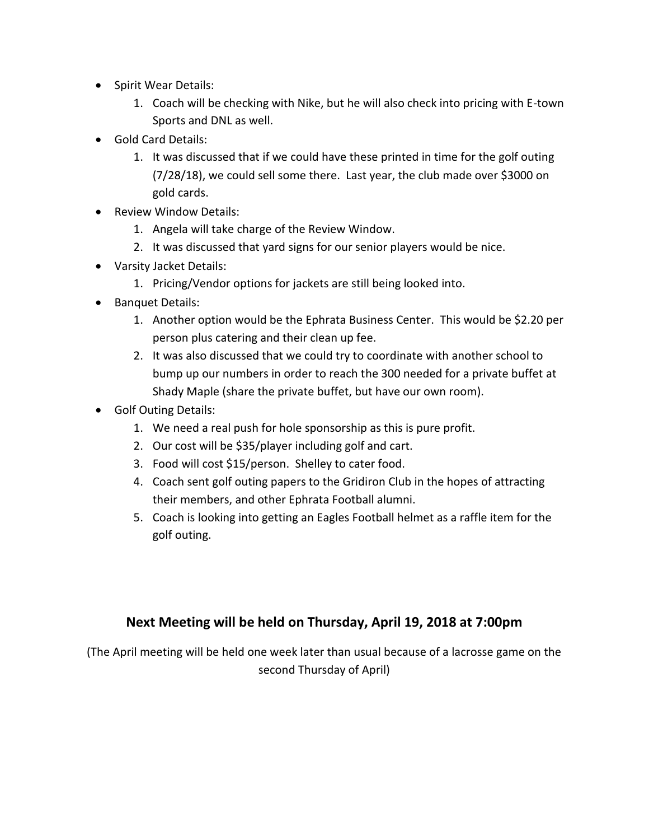- Spirit Wear Details:
	- 1. Coach will be checking with Nike, but he will also check into pricing with E-town Sports and DNL as well.
- Gold Card Details:
	- 1. It was discussed that if we could have these printed in time for the golf outing (7/28/18), we could sell some there. Last year, the club made over \$3000 on gold cards.
- Review Window Details:
	- 1. Angela will take charge of the Review Window.
	- 2. It was discussed that yard signs for our senior players would be nice.
- Varsity Jacket Details:
	- 1. Pricing/Vendor options for jackets are still being looked into.
- Banquet Details:
	- 1. Another option would be the Ephrata Business Center. This would be \$2.20 per person plus catering and their clean up fee.
	- 2. It was also discussed that we could try to coordinate with another school to bump up our numbers in order to reach the 300 needed for a private buffet at Shady Maple (share the private buffet, but have our own room).
- Golf Outing Details:
	- 1. We need a real push for hole sponsorship as this is pure profit.
	- 2. Our cost will be \$35/player including golf and cart.
	- 3. Food will cost \$15/person. Shelley to cater food.
	- 4. Coach sent golf outing papers to the Gridiron Club in the hopes of attracting their members, and other Ephrata Football alumni.
	- 5. Coach is looking into getting an Eagles Football helmet as a raffle item for the golf outing.

### **Next Meeting will be held on Thursday, April 19, 2018 at 7:00pm**

(The April meeting will be held one week later than usual because of a lacrosse game on the second Thursday of April)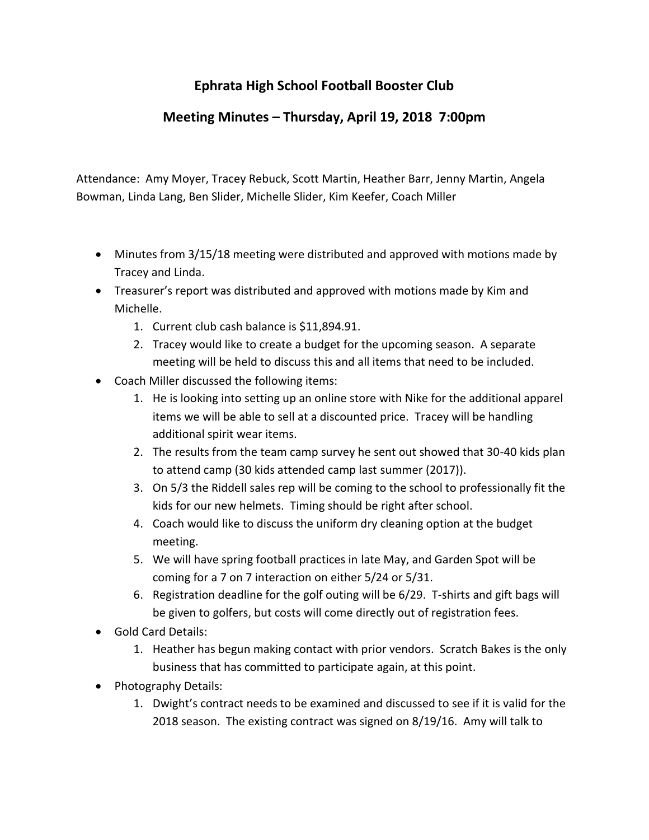## **Meeting Minutes – Thursday, April 19, 2018 7:00pm**

Attendance: Amy Moyer, Tracey Rebuck, Scott Martin, Heather Barr, Jenny Martin, Angela Bowman, Linda Lang, Ben Slider, Michelle Slider, Kim Keefer, Coach Miller

- Minutes from 3/15/18 meeting were distributed and approved with motions made by Tracey and Linda.
- Treasurer's report was distributed and approved with motions made by Kim and Michelle.
	- 1. Current club cash balance is \$11,894.91.
	- 2. Tracey would like to create a budget for the upcoming season. A separate meeting will be held to discuss this and all items that need to be included.
- Coach Miller discussed the following items:
	- 1. He is looking into setting up an online store with Nike for the additional apparel items we will be able to sell at a discounted price. Tracey will be handling additional spirit wear items.
	- 2. The results from the team camp survey he sent out showed that 30-40 kids plan to attend camp (30 kids attended camp last summer (2017)).
	- 3. On 5/3 the Riddell sales rep will be coming to the school to professionally fit the kids for our new helmets. Timing should be right after school.
	- 4. Coach would like to discuss the uniform dry cleaning option at the budget meeting.
	- 5. We will have spring football practices in late May, and Garden Spot will be coming for a 7 on 7 interaction on either 5/24 or 5/31.
	- 6. Registration deadline for the golf outing will be 6/29. T-shirts and gift bags will be given to golfers, but costs will come directly out of registration fees.
- Gold Card Details:
	- 1. Heather has begun making contact with prior vendors. Scratch Bakes is the only business that has committed to participate again, at this point.
- Photography Details:
	- 1. Dwight's contract needs to be examined and discussed to see if it is valid for the 2018 season. The existing contract was signed on 8/19/16. Amy will talk to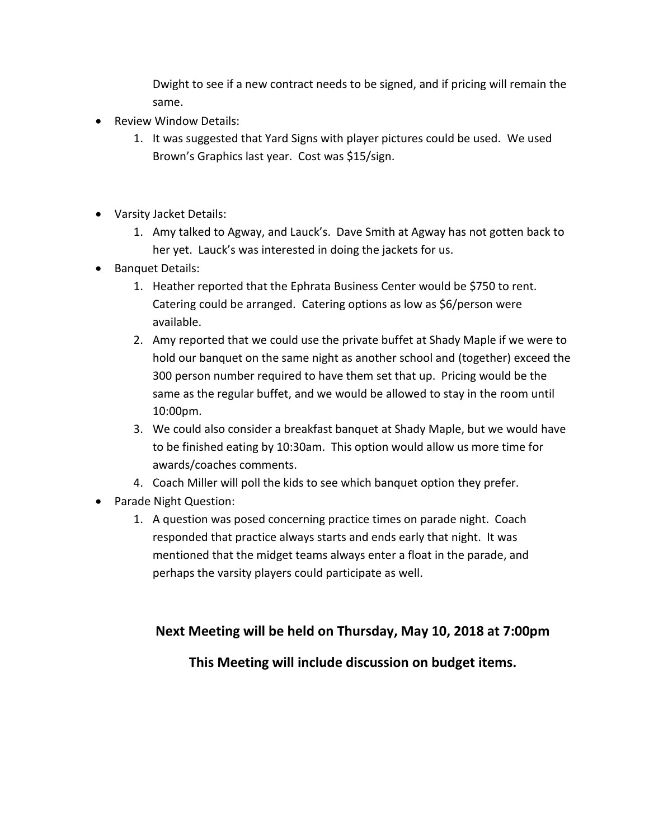Dwight to see if a new contract needs to be signed, and if pricing will remain the same.

- Review Window Details:
	- 1. It was suggested that Yard Signs with player pictures could be used. We used Brown's Graphics last year. Cost was \$15/sign.
- Varsity Jacket Details:
	- 1. Amy talked to Agway, and Lauck's. Dave Smith at Agway has not gotten back to her yet. Lauck's was interested in doing the jackets for us.
- Banquet Details:
	- 1. Heather reported that the Ephrata Business Center would be \$750 to rent. Catering could be arranged. Catering options as low as \$6/person were available.
	- 2. Amy reported that we could use the private buffet at Shady Maple if we were to hold our banquet on the same night as another school and (together) exceed the 300 person number required to have them set that up. Pricing would be the same as the regular buffet, and we would be allowed to stay in the room until 10:00pm.
	- 3. We could also consider a breakfast banquet at Shady Maple, but we would have to be finished eating by 10:30am. This option would allow us more time for awards/coaches comments.
	- 4. Coach Miller will poll the kids to see which banquet option they prefer.
- Parade Night Question:
	- 1. A question was posed concerning practice times on parade night. Coach responded that practice always starts and ends early that night. It was mentioned that the midget teams always enter a float in the parade, and perhaps the varsity players could participate as well.

### **Next Meeting will be held on Thursday, May 10, 2018 at 7:00pm**

#### **This Meeting will include discussion on budget items.**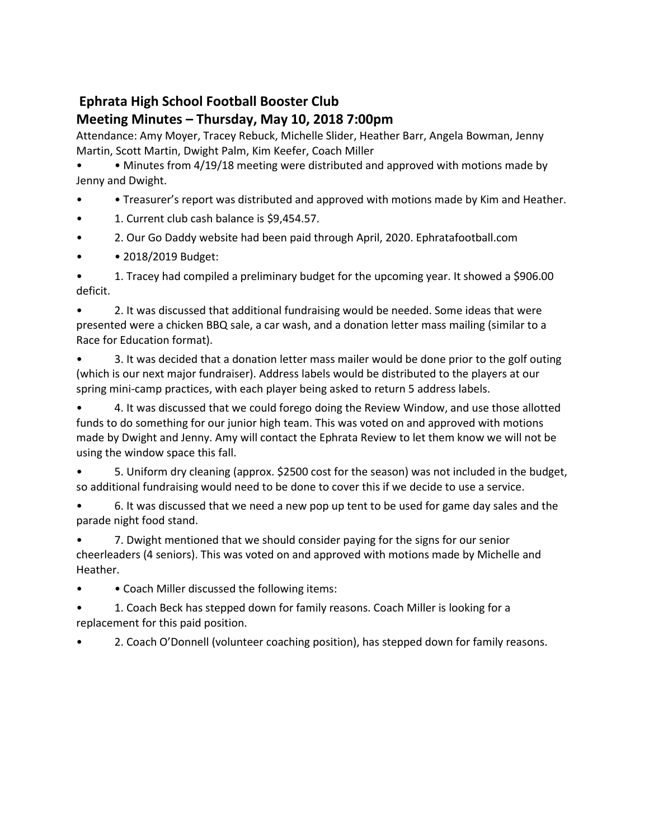## **Meeting Minutes – Thursday, May 10, 2018 7:00pm**

Attendance: Amy Moyer, Tracey Rebuck, Michelle Slider, Heather Barr, Angela Bowman, Jenny Martin, Scott Martin, Dwight Palm, Kim Keefer, Coach Miller

• • Minutes from 4/19/18 meeting were distributed and approved with motions made by Jenny and Dwight.

- • Treasurer's report was distributed and approved with motions made by Kim and Heather.
- 1. Current club cash balance is \$9,454.57.
- 2. Our Go Daddy website had been paid through April, 2020. Ephratafootball.com
- **2018/2019 Budget:**

• 1. Tracey had compiled a preliminary budget for the upcoming year. It showed a \$906.00 deficit.

• 2. It was discussed that additional fundraising would be needed. Some ideas that were presented were a chicken BBQ sale, a car wash, and a donation letter mass mailing (similar to a Race for Education format).

• 3. It was decided that a donation letter mass mailer would be done prior to the golf outing (which is our next major fundraiser). Address labels would be distributed to the players at our spring mini-camp practices, with each player being asked to return 5 address labels.

• 4. It was discussed that we could forego doing the Review Window, and use those allotted funds to do something for our junior high team. This was voted on and approved with motions made by Dwight and Jenny. Amy will contact the Ephrata Review to let them know we will not be using the window space this fall.

• 5. Uniform dry cleaning (approx. \$2500 cost for the season) was not included in the budget, so additional fundraising would need to be done to cover this if we decide to use a service.

• 6. It was discussed that we need a new pop up tent to be used for game day sales and the parade night food stand.

7. Dwight mentioned that we should consider paying for the signs for our senior cheerleaders (4 seniors). This was voted on and approved with motions made by Michelle and Heather.

• • Coach Miller discussed the following items:

• 1. Coach Beck has stepped down for family reasons. Coach Miller is looking for a replacement for this paid position.

• 2. Coach O'Donnell (volunteer coaching position), has stepped down for family reasons.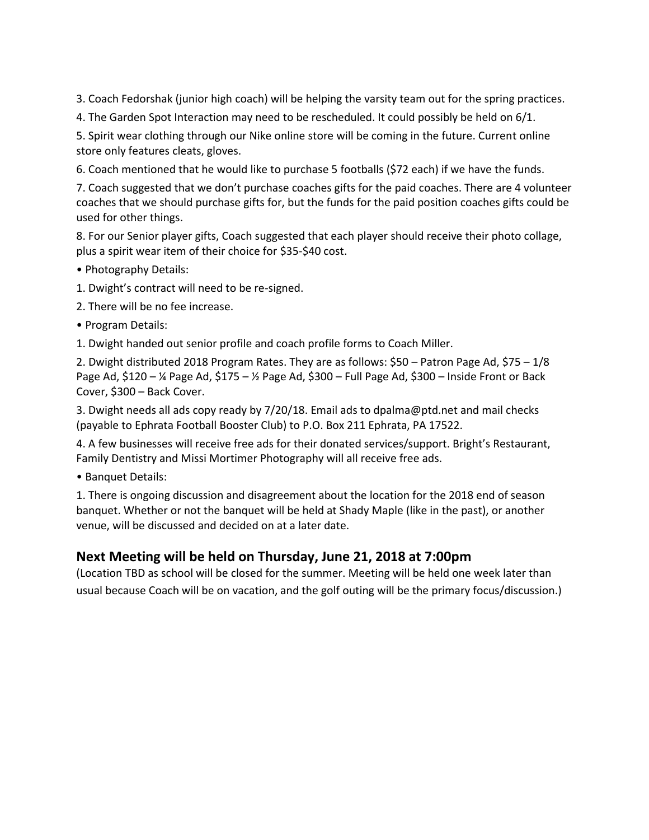3. Coach Fedorshak (junior high coach) will be helping the varsity team out for the spring practices.

4. The Garden Spot Interaction may need to be rescheduled. It could possibly be held on 6/1.

5. Spirit wear clothing through our Nike online store will be coming in the future. Current online store only features cleats, gloves.

6. Coach mentioned that he would like to purchase 5 footballs (\$72 each) if we have the funds.

7. Coach suggested that we don't purchase coaches gifts for the paid coaches. There are 4 volunteer coaches that we should purchase gifts for, but the funds for the paid position coaches gifts could be used for other things.

8. For our Senior player gifts, Coach suggested that each player should receive their photo collage, plus a spirit wear item of their choice for \$35-\$40 cost.

• Photography Details:

1. Dwight's contract will need to be re-signed.

2. There will be no fee increase.

• Program Details:

1. Dwight handed out senior profile and coach profile forms to Coach Miller.

2. Dwight distributed 2018 Program Rates. They are as follows: \$50 – Patron Page Ad, \$75 – 1/8 Page Ad,  $$120 - *%*$  Page Ad,  $$175 - *%*$  Page Ad,  $$300 -$  Full Page Ad,  $$300 -$  Inside Front or Back Cover, \$300 – Back Cover.

3. Dwight needs all ads copy ready by 7/20/18. Email ads to dpalma@ptd.net and mail checks (payable to Ephrata Football Booster Club) to P.O. Box 211 Ephrata, PA 17522.

4. A few businesses will receive free ads for their donated services/support. Bright's Restaurant, Family Dentistry and Missi Mortimer Photography will all receive free ads.

• Banquet Details:

1. There is ongoing discussion and disagreement about the location for the 2018 end of season banquet. Whether or not the banquet will be held at Shady Maple (like in the past), or another venue, will be discussed and decided on at a later date.

#### **Next Meeting will be held on Thursday, June 21, 2018 at 7:00pm**

(Location TBD as school will be closed for the summer. Meeting will be held one week later than usual because Coach will be on vacation, and the golf outing will be the primary focus/discussion.)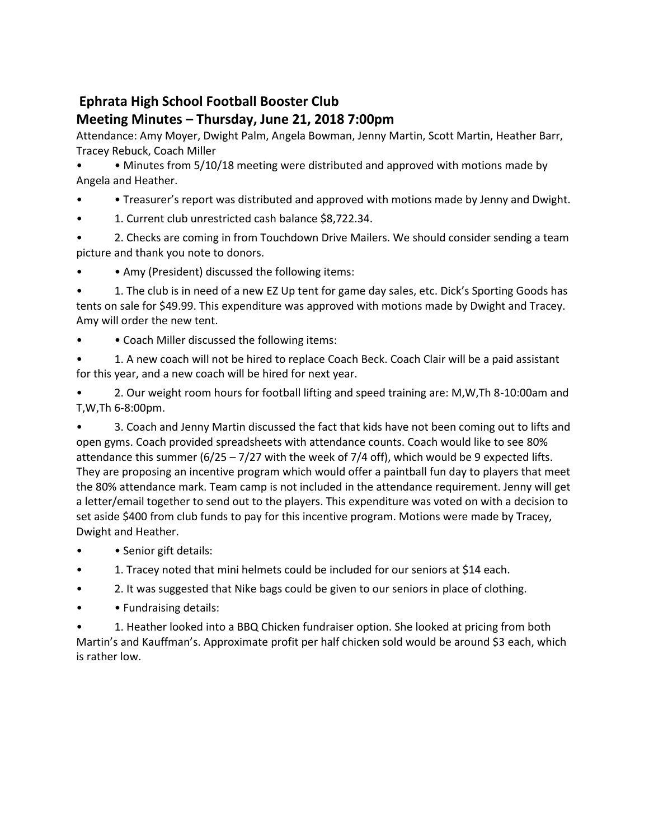# **Meeting Minutes – Thursday, June 21, 2018 7:00pm**

Attendance: Amy Moyer, Dwight Palm, Angela Bowman, Jenny Martin, Scott Martin, Heather Barr, Tracey Rebuck, Coach Miller

• • Minutes from 5/10/18 meeting were distributed and approved with motions made by Angela and Heather.

- • Treasurer's report was distributed and approved with motions made by Jenny and Dwight.
- 1. Current club unrestricted cash balance \$8,722.34.

• 2. Checks are coming in from Touchdown Drive Mailers. We should consider sending a team picture and thank you note to donors.

• Amy (President) discussed the following items:

• 1. The club is in need of a new EZ Up tent for game day sales, etc. Dick's Sporting Goods has tents on sale for \$49.99. This expenditure was approved with motions made by Dwight and Tracey. Amy will order the new tent.

• Coach Miller discussed the following items:

• 1. A new coach will not be hired to replace Coach Beck. Coach Clair will be a paid assistant for this year, and a new coach will be hired for next year.

• 2. Our weight room hours for football lifting and speed training are: M,W,Th 8-10:00am and T,W,Th 6-8:00pm.

• 3. Coach and Jenny Martin discussed the fact that kids have not been coming out to lifts and open gyms. Coach provided spreadsheets with attendance counts. Coach would like to see 80% attendance this summer  $(6/25 - 7/27$  with the week of 7/4 off), which would be 9 expected lifts. They are proposing an incentive program which would offer a paintball fun day to players that meet the 80% attendance mark. Team camp is not included in the attendance requirement. Jenny will get a letter/email together to send out to the players. This expenditure was voted on with a decision to set aside \$400 from club funds to pay for this incentive program. Motions were made by Tracey, Dwight and Heather.

- Senior gift details:
- 1. Tracey noted that mini helmets could be included for our seniors at \$14 each.
- 2. It was suggested that Nike bags could be given to our seniors in place of clothing.
- • Fundraising details:

• 1. Heather looked into a BBQ Chicken fundraiser option. She looked at pricing from both Martin's and Kauffman's. Approximate profit per half chicken sold would be around \$3 each, which is rather low.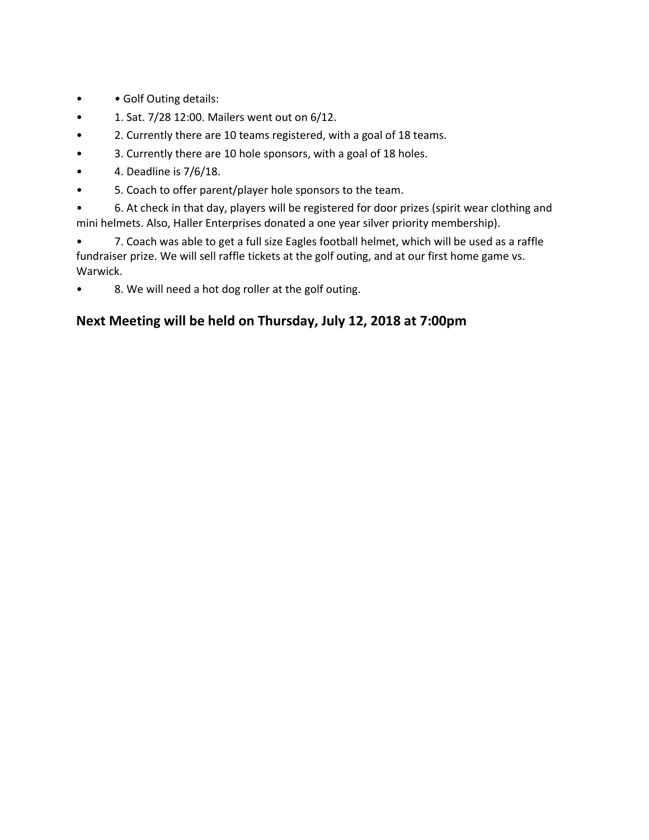- • Golf Outing details:
- 1. Sat. 7/28 12:00. Mailers went out on 6/12.
- 2. Currently there are 10 teams registered, with a goal of 18 teams.
- 3. Currently there are 10 hole sponsors, with a goal of 18 holes.
- $\bullet$  4. Deadline is  $7/6/18$ .
- 5. Coach to offer parent/player hole sponsors to the team.

• 6. At check in that day, players will be registered for door prizes (spirit wear clothing and mini helmets. Also, Haller Enterprises donated a one year silver priority membership).

• 7. Coach was able to get a full size Eagles football helmet, which will be used as a raffle fundraiser prize. We will sell raffle tickets at the golf outing, and at our first home game vs. Warwick.

8. We will need a hot dog roller at the golf outing.

## **Next Meeting will be held on Thursday, July 12, 2018 at 7:00pm**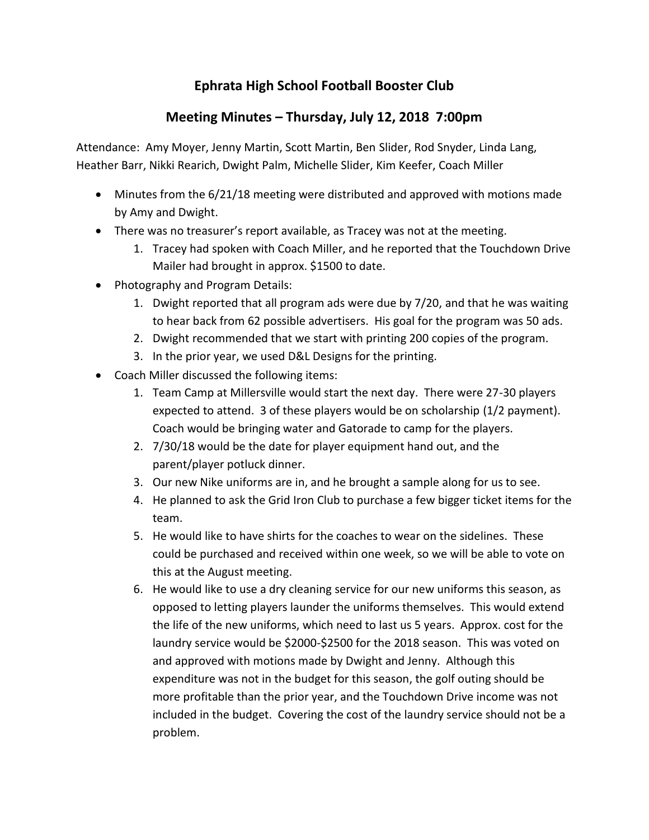# **Meeting Minutes – Thursday, July 12, 2018 7:00pm**

Attendance: Amy Moyer, Jenny Martin, Scott Martin, Ben Slider, Rod Snyder, Linda Lang, Heather Barr, Nikki Rearich, Dwight Palm, Michelle Slider, Kim Keefer, Coach Miller

- Minutes from the 6/21/18 meeting were distributed and approved with motions made by Amy and Dwight.
- There was no treasurer's report available, as Tracey was not at the meeting.
	- 1. Tracey had spoken with Coach Miller, and he reported that the Touchdown Drive Mailer had brought in approx. \$1500 to date.
- Photography and Program Details:
	- 1. Dwight reported that all program ads were due by 7/20, and that he was waiting to hear back from 62 possible advertisers. His goal for the program was 50 ads.
	- 2. Dwight recommended that we start with printing 200 copies of the program.
	- 3. In the prior year, we used D&L Designs for the printing.
- Coach Miller discussed the following items:
	- 1. Team Camp at Millersville would start the next day. There were 27-30 players expected to attend. 3 of these players would be on scholarship (1/2 payment). Coach would be bringing water and Gatorade to camp for the players.
	- 2. 7/30/18 would be the date for player equipment hand out, and the parent/player potluck dinner.
	- 3. Our new Nike uniforms are in, and he brought a sample along for us to see.
	- 4. He planned to ask the Grid Iron Club to purchase a few bigger ticket items for the team.
	- 5. He would like to have shirts for the coaches to wear on the sidelines. These could be purchased and received within one week, so we will be able to vote on this at the August meeting.
	- 6. He would like to use a dry cleaning service for our new uniforms this season, as opposed to letting players launder the uniforms themselves. This would extend the life of the new uniforms, which need to last us 5 years. Approx. cost for the laundry service would be \$2000-\$2500 for the 2018 season. This was voted on and approved with motions made by Dwight and Jenny. Although this expenditure was not in the budget for this season, the golf outing should be more profitable than the prior year, and the Touchdown Drive income was not included in the budget. Covering the cost of the laundry service should not be a problem.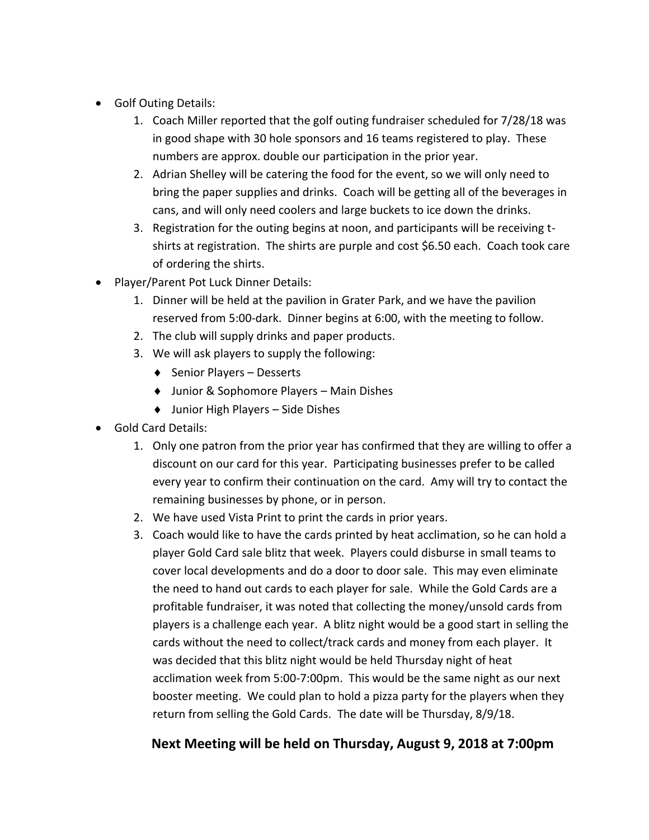- Golf Outing Details:
	- 1. Coach Miller reported that the golf outing fundraiser scheduled for 7/28/18 was in good shape with 30 hole sponsors and 16 teams registered to play. These numbers are approx. double our participation in the prior year.
	- 2. Adrian Shelley will be catering the food for the event, so we will only need to bring the paper supplies and drinks. Coach will be getting all of the beverages in cans, and will only need coolers and large buckets to ice down the drinks.
	- 3. Registration for the outing begins at noon, and participants will be receiving tshirts at registration. The shirts are purple and cost \$6.50 each. Coach took care of ordering the shirts.
- Player/Parent Pot Luck Dinner Details:
	- 1. Dinner will be held at the pavilion in Grater Park, and we have the pavilion reserved from 5:00-dark. Dinner begins at 6:00, with the meeting to follow.
	- 2. The club will supply drinks and paper products.
	- 3. We will ask players to supply the following:
		- $\triangleleft$  Senior Players Desserts
		- ◆ Junior & Sophomore Players Main Dishes
		- ◆ Junior High Players Side Dishes
- Gold Card Details:
	- 1. Only one patron from the prior year has confirmed that they are willing to offer a discount on our card for this year. Participating businesses prefer to be called every year to confirm their continuation on the card. Amy will try to contact the remaining businesses by phone, or in person.
	- 2. We have used Vista Print to print the cards in prior years.
	- 3. Coach would like to have the cards printed by heat acclimation, so he can hold a player Gold Card sale blitz that week. Players could disburse in small teams to cover local developments and do a door to door sale. This may even eliminate the need to hand out cards to each player for sale. While the Gold Cards are a profitable fundraiser, it was noted that collecting the money/unsold cards from players is a challenge each year. A blitz night would be a good start in selling the cards without the need to collect/track cards and money from each player. It was decided that this blitz night would be held Thursday night of heat acclimation week from 5:00-7:00pm. This would be the same night as our next booster meeting. We could plan to hold a pizza party for the players when they return from selling the Gold Cards. The date will be Thursday, 8/9/18.

#### **Next Meeting will be held on Thursday, August 9, 2018 at 7:00pm**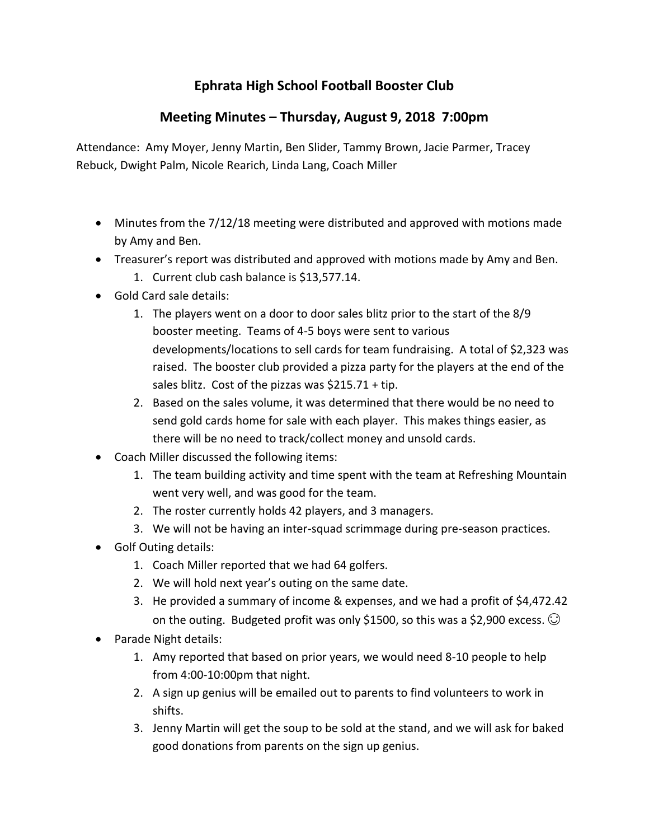# **Meeting Minutes – Thursday, August 9, 2018 7:00pm**

Attendance: Amy Moyer, Jenny Martin, Ben Slider, Tammy Brown, Jacie Parmer, Tracey Rebuck, Dwight Palm, Nicole Rearich, Linda Lang, Coach Miller

- Minutes from the 7/12/18 meeting were distributed and approved with motions made by Amy and Ben.
- Treasurer's report was distributed and approved with motions made by Amy and Ben.
	- 1. Current club cash balance is \$13,577.14.
- Gold Card sale details:
	- 1. The players went on a door to door sales blitz prior to the start of the 8/9 booster meeting. Teams of 4-5 boys were sent to various developments/locations to sell cards for team fundraising. A total of \$2,323 was raised. The booster club provided a pizza party for the players at the end of the sales blitz. Cost of the pizzas was \$215.71 + tip.
	- 2. Based on the sales volume, it was determined that there would be no need to send gold cards home for sale with each player. This makes things easier, as there will be no need to track/collect money and unsold cards.
- Coach Miller discussed the following items:
	- 1. The team building activity and time spent with the team at Refreshing Mountain went very well, and was good for the team.
	- 2. The roster currently holds 42 players, and 3 managers.
	- 3. We will not be having an inter-squad scrimmage during pre-season practices.
- Golf Outing details:
	- 1. Coach Miller reported that we had 64 golfers.
	- 2. We will hold next year's outing on the same date.
	- 3. He provided a summary of income & expenses, and we had a profit of \$4,472.42 on the outing. Budgeted profit was only \$1500, so this was a \$2,900 excess.  $\odot$
- Parade Night details:
	- 1. Amy reported that based on prior years, we would need 8-10 people to help from 4:00-10:00pm that night.
	- 2. A sign up genius will be emailed out to parents to find volunteers to work in shifts.
	- 3. Jenny Martin will get the soup to be sold at the stand, and we will ask for baked good donations from parents on the sign up genius.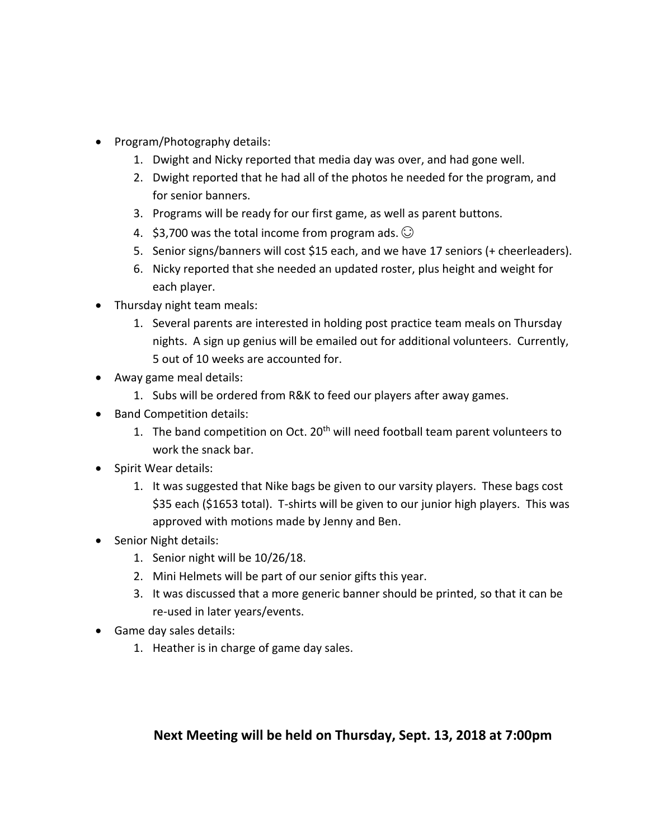- Program/Photography details:
	- 1. Dwight and Nicky reported that media day was over, and had gone well.
	- 2. Dwight reported that he had all of the photos he needed for the program, and for senior banners.
	- 3. Programs will be ready for our first game, as well as parent buttons.
	- 4. \$3,700 was the total income from program ads.  $\odot$
	- 5. Senior signs/banners will cost \$15 each, and we have 17 seniors (+ cheerleaders).
	- 6. Nicky reported that she needed an updated roster, plus height and weight for each player.
- Thursday night team meals:
	- 1. Several parents are interested in holding post practice team meals on Thursday nights. A sign up genius will be emailed out for additional volunteers. Currently, 5 out of 10 weeks are accounted for.
- Away game meal details:
	- 1. Subs will be ordered from R&K to feed our players after away games.
- Band Competition details:
	- 1. The band competition on Oct. 20<sup>th</sup> will need football team parent volunteers to work the snack bar.
- Spirit Wear details:
	- 1. It was suggested that Nike bags be given to our varsity players. These bags cost \$35 each (\$1653 total). T-shirts will be given to our junior high players. This was approved with motions made by Jenny and Ben.
- Senior Night details:
	- 1. Senior night will be 10/26/18.
	- 2. Mini Helmets will be part of our senior gifts this year.
	- 3. It was discussed that a more generic banner should be printed, so that it can be re-used in later years/events.
- Game day sales details:
	- 1. Heather is in charge of game day sales.

#### **Next Meeting will be held on Thursday, Sept. 13, 2018 at 7:00pm**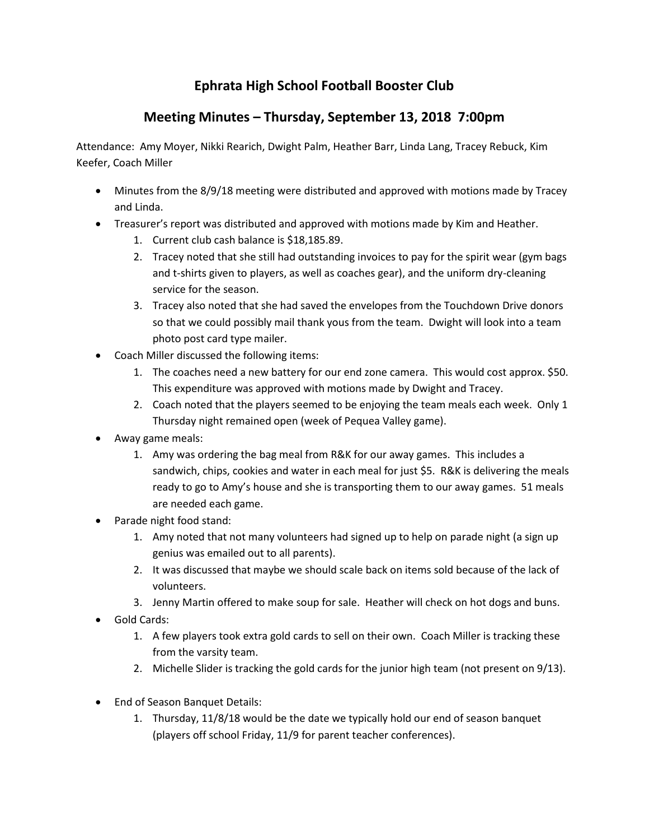## **Meeting Minutes – Thursday, September 13, 2018 7:00pm**

Attendance: Amy Moyer, Nikki Rearich, Dwight Palm, Heather Barr, Linda Lang, Tracey Rebuck, Kim Keefer, Coach Miller

- Minutes from the 8/9/18 meeting were distributed and approved with motions made by Tracey and Linda.
- Treasurer's report was distributed and approved with motions made by Kim and Heather.
	- 1. Current club cash balance is \$18,185.89.
	- 2. Tracey noted that she still had outstanding invoices to pay for the spirit wear (gym bags and t-shirts given to players, as well as coaches gear), and the uniform dry-cleaning service for the season.
	- 3. Tracey also noted that she had saved the envelopes from the Touchdown Drive donors so that we could possibly mail thank yous from the team. Dwight will look into a team photo post card type mailer.
- Coach Miller discussed the following items:
	- 1. The coaches need a new battery for our end zone camera. This would cost approx. \$50. This expenditure was approved with motions made by Dwight and Tracey.
	- 2. Coach noted that the players seemed to be enjoying the team meals each week. Only 1 Thursday night remained open (week of Pequea Valley game).
- Away game meals:
	- 1. Amy was ordering the bag meal from R&K for our away games. This includes a sandwich, chips, cookies and water in each meal for just \$5. R&K is delivering the meals ready to go to Amy's house and she is transporting them to our away games. 51 meals are needed each game.
- Parade night food stand:
	- 1. Amy noted that not many volunteers had signed up to help on parade night (a sign up genius was emailed out to all parents).
	- 2. It was discussed that maybe we should scale back on items sold because of the lack of volunteers.
	- 3. Jenny Martin offered to make soup for sale. Heather will check on hot dogs and buns.
- Gold Cards:
	- 1. A few players took extra gold cards to sell on their own. Coach Miller is tracking these from the varsity team.
	- 2. Michelle Slider is tracking the gold cards for the junior high team (not present on 9/13).
- End of Season Banquet Details:
	- 1. Thursday, 11/8/18 would be the date we typically hold our end of season banquet (players off school Friday, 11/9 for parent teacher conferences).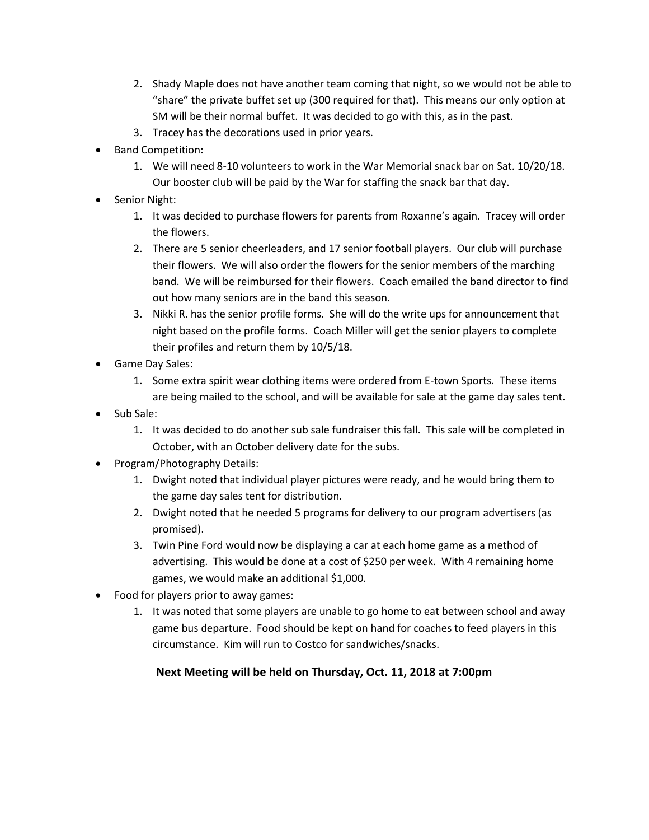- 2. Shady Maple does not have another team coming that night, so we would not be able to "share" the private buffet set up (300 required for that). This means our only option at SM will be their normal buffet. It was decided to go with this, as in the past.
- 3. Tracey has the decorations used in prior years.
- Band Competition:
	- 1. We will need 8-10 volunteers to work in the War Memorial snack bar on Sat. 10/20/18. Our booster club will be paid by the War for staffing the snack bar that day.
- Senior Night:
	- 1. It was decided to purchase flowers for parents from Roxanne's again. Tracey will order the flowers.
	- 2. There are 5 senior cheerleaders, and 17 senior football players. Our club will purchase their flowers. We will also order the flowers for the senior members of the marching band. We will be reimbursed for their flowers. Coach emailed the band director to find out how many seniors are in the band this season.
	- 3. Nikki R. has the senior profile forms. She will do the write ups for announcement that night based on the profile forms. Coach Miller will get the senior players to complete their profiles and return them by 10/5/18.
- Game Day Sales:
	- 1. Some extra spirit wear clothing items were ordered from E-town Sports. These items are being mailed to the school, and will be available for sale at the game day sales tent.
- Sub Sale:
	- 1. It was decided to do another sub sale fundraiser this fall. This sale will be completed in October, with an October delivery date for the subs.
- Program/Photography Details:
	- 1. Dwight noted that individual player pictures were ready, and he would bring them to the game day sales tent for distribution.
	- 2. Dwight noted that he needed 5 programs for delivery to our program advertisers (as promised).
	- 3. Twin Pine Ford would now be displaying a car at each home game as a method of advertising. This would be done at a cost of \$250 per week. With 4 remaining home games, we would make an additional \$1,000.
- Food for players prior to away games:
	- 1. It was noted that some players are unable to go home to eat between school and away game bus departure. Food should be kept on hand for coaches to feed players in this circumstance. Kim will run to Costco for sandwiches/snacks.

#### **Next Meeting will be held on Thursday, Oct. 11, 2018 at 7:00pm**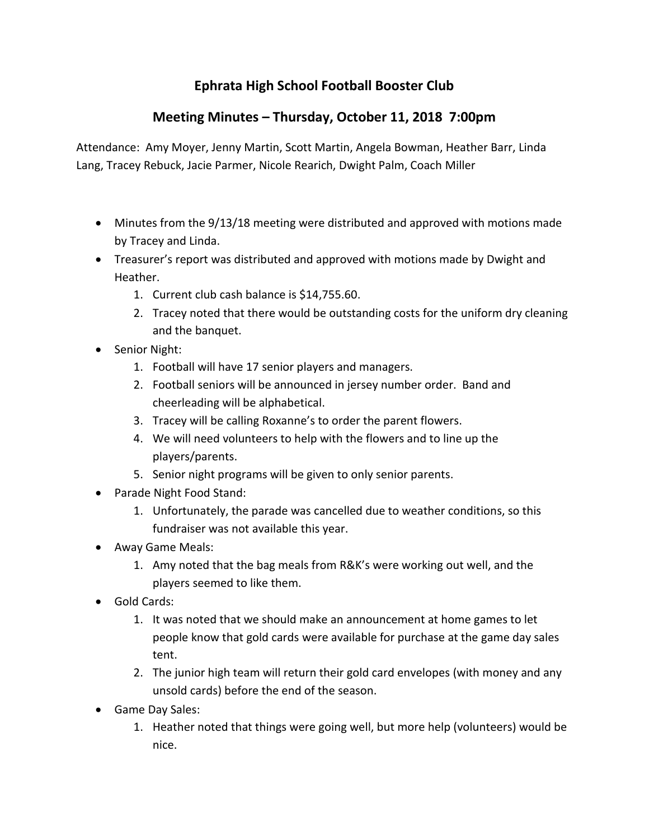## **Meeting Minutes – Thursday, October 11, 2018 7:00pm**

Attendance: Amy Moyer, Jenny Martin, Scott Martin, Angela Bowman, Heather Barr, Linda Lang, Tracey Rebuck, Jacie Parmer, Nicole Rearich, Dwight Palm, Coach Miller

- Minutes from the 9/13/18 meeting were distributed and approved with motions made by Tracey and Linda.
- Treasurer's report was distributed and approved with motions made by Dwight and Heather.
	- 1. Current club cash balance is \$14,755.60.
	- 2. Tracey noted that there would be outstanding costs for the uniform dry cleaning and the banquet.
- Senior Night:
	- 1. Football will have 17 senior players and managers.
	- 2. Football seniors will be announced in jersey number order. Band and cheerleading will be alphabetical.
	- 3. Tracey will be calling Roxanne's to order the parent flowers.
	- 4. We will need volunteers to help with the flowers and to line up the players/parents.
	- 5. Senior night programs will be given to only senior parents.
- Parade Night Food Stand:
	- 1. Unfortunately, the parade was cancelled due to weather conditions, so this fundraiser was not available this year.
- Away Game Meals:
	- 1. Amy noted that the bag meals from R&K's were working out well, and the players seemed to like them.
- Gold Cards:
	- 1. It was noted that we should make an announcement at home games to let people know that gold cards were available for purchase at the game day sales tent.
	- 2. The junior high team will return their gold card envelopes (with money and any unsold cards) before the end of the season.
- Game Day Sales:
	- 1. Heather noted that things were going well, but more help (volunteers) would be nice.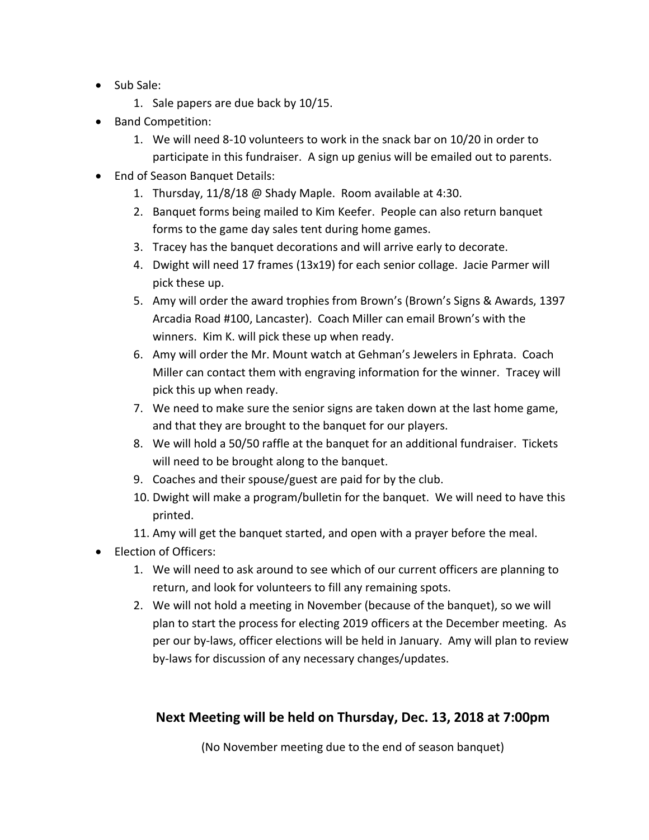- Sub Sale:
	- 1. Sale papers are due back by 10/15.
- Band Competition:
	- 1. We will need 8-10 volunteers to work in the snack bar on 10/20 in order to participate in this fundraiser. A sign up genius will be emailed out to parents.
- End of Season Banquet Details:
	- 1. Thursday, 11/8/18 @ Shady Maple. Room available at 4:30.
	- 2. Banquet forms being mailed to Kim Keefer. People can also return banquet forms to the game day sales tent during home games.
	- 3. Tracey has the banquet decorations and will arrive early to decorate.
	- 4. Dwight will need 17 frames (13x19) for each senior collage. Jacie Parmer will pick these up.
	- 5. Amy will order the award trophies from Brown's (Brown's Signs & Awards, 1397 Arcadia Road #100, Lancaster). Coach Miller can email Brown's with the winners. Kim K. will pick these up when ready.
	- 6. Amy will order the Mr. Mount watch at Gehman's Jewelers in Ephrata. Coach Miller can contact them with engraving information for the winner. Tracey will pick this up when ready.
	- 7. We need to make sure the senior signs are taken down at the last home game, and that they are brought to the banquet for our players.
	- 8. We will hold a 50/50 raffle at the banquet for an additional fundraiser. Tickets will need to be brought along to the banquet.
	- 9. Coaches and their spouse/guest are paid for by the club.
	- 10. Dwight will make a program/bulletin for the banquet. We will need to have this printed.
	- 11. Amy will get the banquet started, and open with a prayer before the meal.
- Election of Officers:
	- 1. We will need to ask around to see which of our current officers are planning to return, and look for volunteers to fill any remaining spots.
	- 2. We will not hold a meeting in November (because of the banquet), so we will plan to start the process for electing 2019 officers at the December meeting. As per our by-laws, officer elections will be held in January. Amy will plan to review by-laws for discussion of any necessary changes/updates.

### **Next Meeting will be held on Thursday, Dec. 13, 2018 at 7:00pm**

(No November meeting due to the end of season banquet)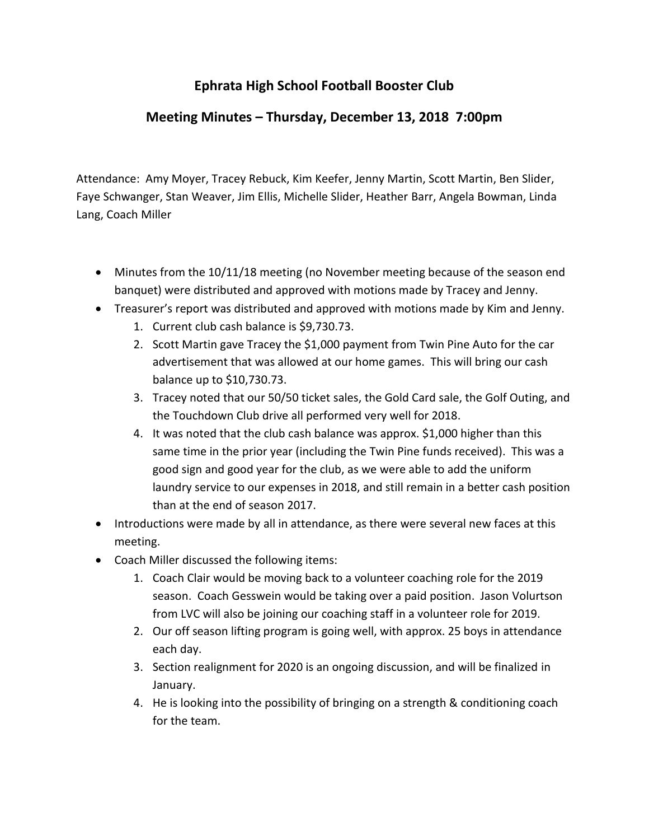### **Meeting Minutes – Thursday, December 13, 2018 7:00pm**

Attendance: Amy Moyer, Tracey Rebuck, Kim Keefer, Jenny Martin, Scott Martin, Ben Slider, Faye Schwanger, Stan Weaver, Jim Ellis, Michelle Slider, Heather Barr, Angela Bowman, Linda Lang, Coach Miller

- Minutes from the 10/11/18 meeting (no November meeting because of the season end banquet) were distributed and approved with motions made by Tracey and Jenny.
- Treasurer's report was distributed and approved with motions made by Kim and Jenny.
	- 1. Current club cash balance is \$9,730.73.
	- 2. Scott Martin gave Tracey the \$1,000 payment from Twin Pine Auto for the car advertisement that was allowed at our home games. This will bring our cash balance up to \$10,730.73.
	- 3. Tracey noted that our 50/50 ticket sales, the Gold Card sale, the Golf Outing, and the Touchdown Club drive all performed very well for 2018.
	- 4. It was noted that the club cash balance was approx. \$1,000 higher than this same time in the prior year (including the Twin Pine funds received). This was a good sign and good year for the club, as we were able to add the uniform laundry service to our expenses in 2018, and still remain in a better cash position than at the end of season 2017.
- Introductions were made by all in attendance, as there were several new faces at this meeting.
- Coach Miller discussed the following items:
	- 1. Coach Clair would be moving back to a volunteer coaching role for the 2019 season. Coach Gesswein would be taking over a paid position. Jason Volurtson from LVC will also be joining our coaching staff in a volunteer role for 2019.
	- 2. Our off season lifting program is going well, with approx. 25 boys in attendance each day.
	- 3. Section realignment for 2020 is an ongoing discussion, and will be finalized in January.
	- 4. He is looking into the possibility of bringing on a strength & conditioning coach for the team.